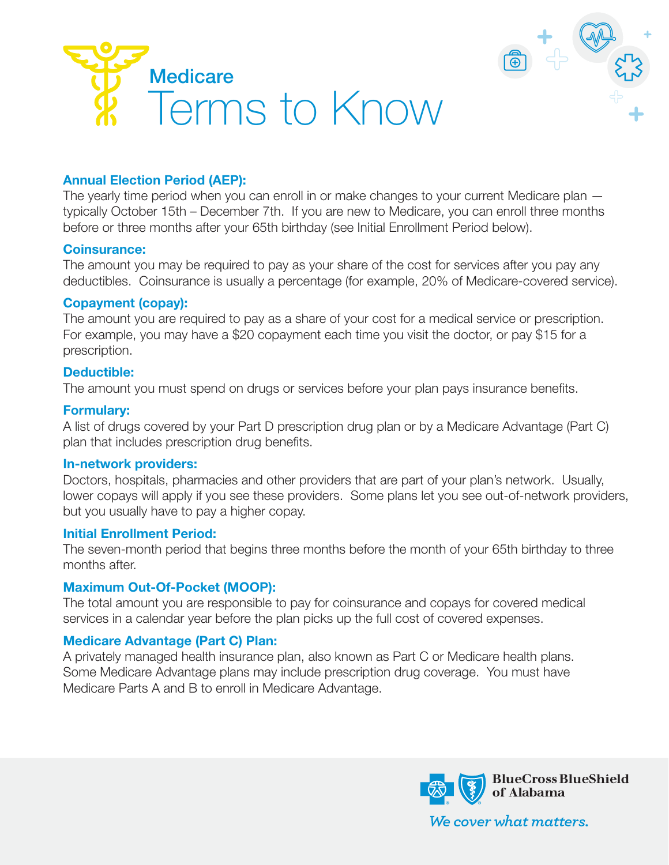



## **Annual Election Period (AEP):**

The yearly time period when you can enroll in or make changes to your current Medicare plan typically October 15th – December 7th. If you are new to Medicare, you can enroll three months before or three months after your 65th birthday (see Initial Enrollment Period below).

#### **Coinsurance:**

The amount you may be required to pay as your share of the cost for services after you pay any deductibles. Coinsurance is usually a percentage (for example, 20% of Medicare-covered service).

### **Copayment (copay):**

The amount you are required to pay as a share of your cost for a medical service or prescription. For example, you may have a \$20 copayment each time you visit the doctor, or pay \$15 for a prescription.

### **Deductible:**

The amount you must spend on drugs or services before your plan pays insurance benefits.

#### **Formulary:**

A list of drugs covered by your Part D prescription drug plan or by a Medicare Advantage (Part C) plan that includes prescription drug benefits.

#### **In-network providers:**

Doctors, hospitals, pharmacies and other providers that are part of your plan's network. Usually, lower copays will apply if you see these providers. Some plans let you see out-of-network providers, but you usually have to pay a higher copay.

### **Initial Enrollment Period:**

The seven-month period that begins three months before the month of your 65th birthday to three months after.

### **Maximum Out-Of-Pocket (MOOP):**

The total amount you are responsible to pay for coinsurance and copays for covered medical services in a calendar year before the plan picks up the full cost of covered expenses.

### **Medicare Advantage (Part C) Plan:**

A privately managed health insurance plan, also known as Part C or Medicare health plans. Some Medicare Advantage plans may include prescription drug coverage. You must have Medicare Parts A and B to enroll in Medicare Advantage.